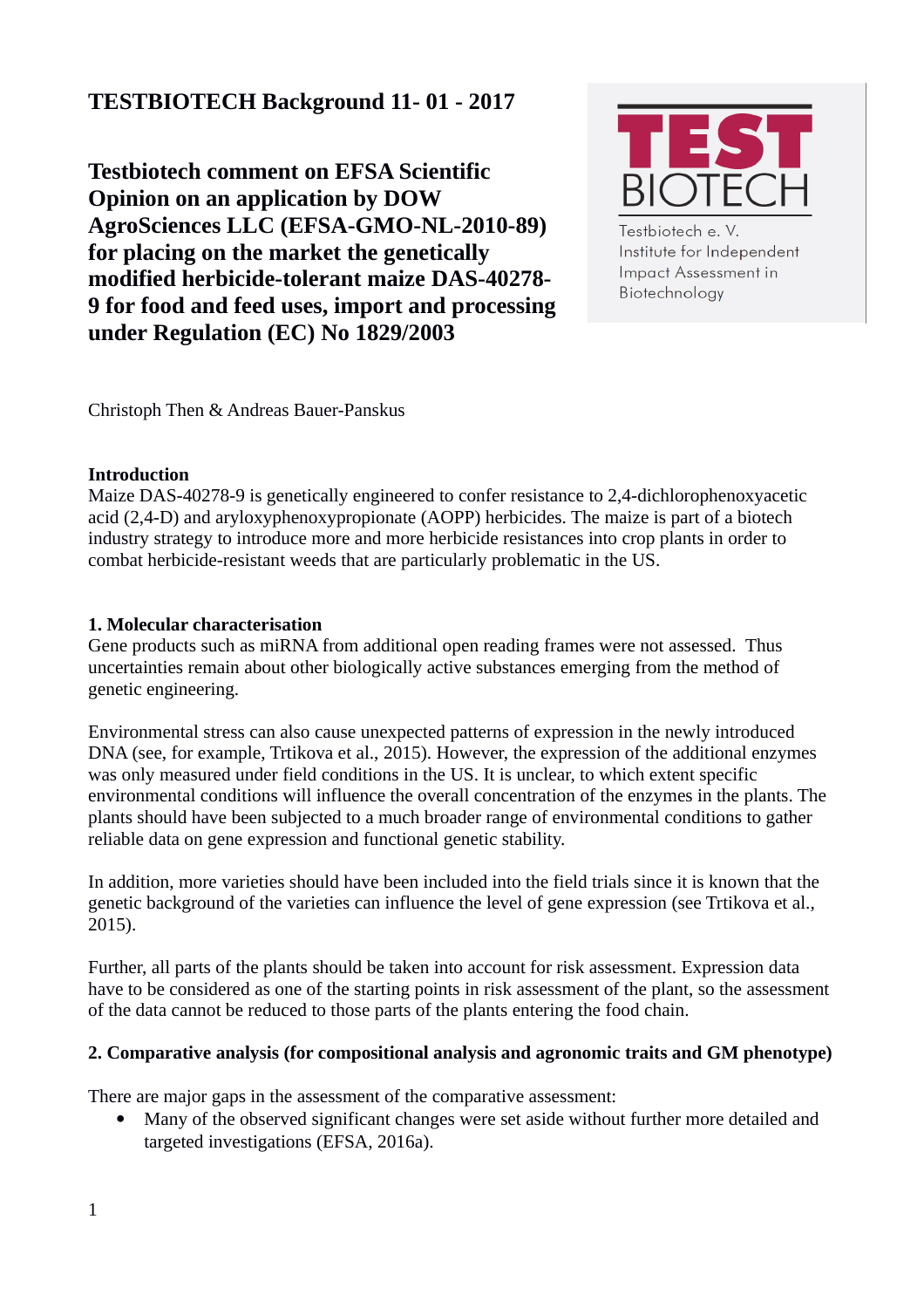# **TESTBIOTECH Background 11- 01 - 2017**

**Testbiotech comment on EFSA Scientific Opinion on an application by DOW AgroSciences LLC (EFSA-GMO-NL-2010-89) for placing on the market the genetically modified herbicide-tolerant maize DAS-40278- 9 for food and feed uses, import and processing under Regulation (EC) No 1829/2003**



Testbiotech e. V. Institute for Independent **Impact Assessment in** Biotechnology

Christoph Then & Andreas Bauer-Panskus

#### **Introduction**

Maize DAS-40278-9 is genetically engineered to confer resistance to 2,4-dichlorophenoxyacetic acid (2,4-D) and aryloxyphenoxypropionate (AOPP) herbicides. The maize is part of a biotech industry strategy to introduce more and more herbicide resistances into crop plants in order to combat herbicide-resistant weeds that are particularly problematic in the US.

## **1. Molecular characterisation**

Gene products such as miRNA from additional open reading frames were not assessed. Thus uncertainties remain about other biologically active substances emerging from the method of genetic engineering.

Environmental stress can also cause unexpected patterns of expression in the newly introduced DNA (see, for example, Trtikova et al., 2015). However, the expression of the additional enzymes was only measured under field conditions in the US. It is unclear, to which extent specific environmental conditions will influence the overall concentration of the enzymes in the plants. The plants should have been subjected to a much broader range of environmental conditions to gather reliable data on gene expression and functional genetic stability.

In addition, more varieties should have been included into the field trials since it is known that the genetic background of the varieties can influence the level of gene expression (see Trtikova et al., 2015).

Further, all parts of the plants should be taken into account for risk assessment. Expression data have to be considered as one of the starting points in risk assessment of the plant, so the assessment of the data cannot be reduced to those parts of the plants entering the food chain.

## **2. Comparative analysis (for compositional analysis and agronomic traits and GM phenotype)**

There are major gaps in the assessment of the comparative assessment:

 Many of the observed significant changes were set aside without further more detailed and targeted investigations (EFSA, 2016a).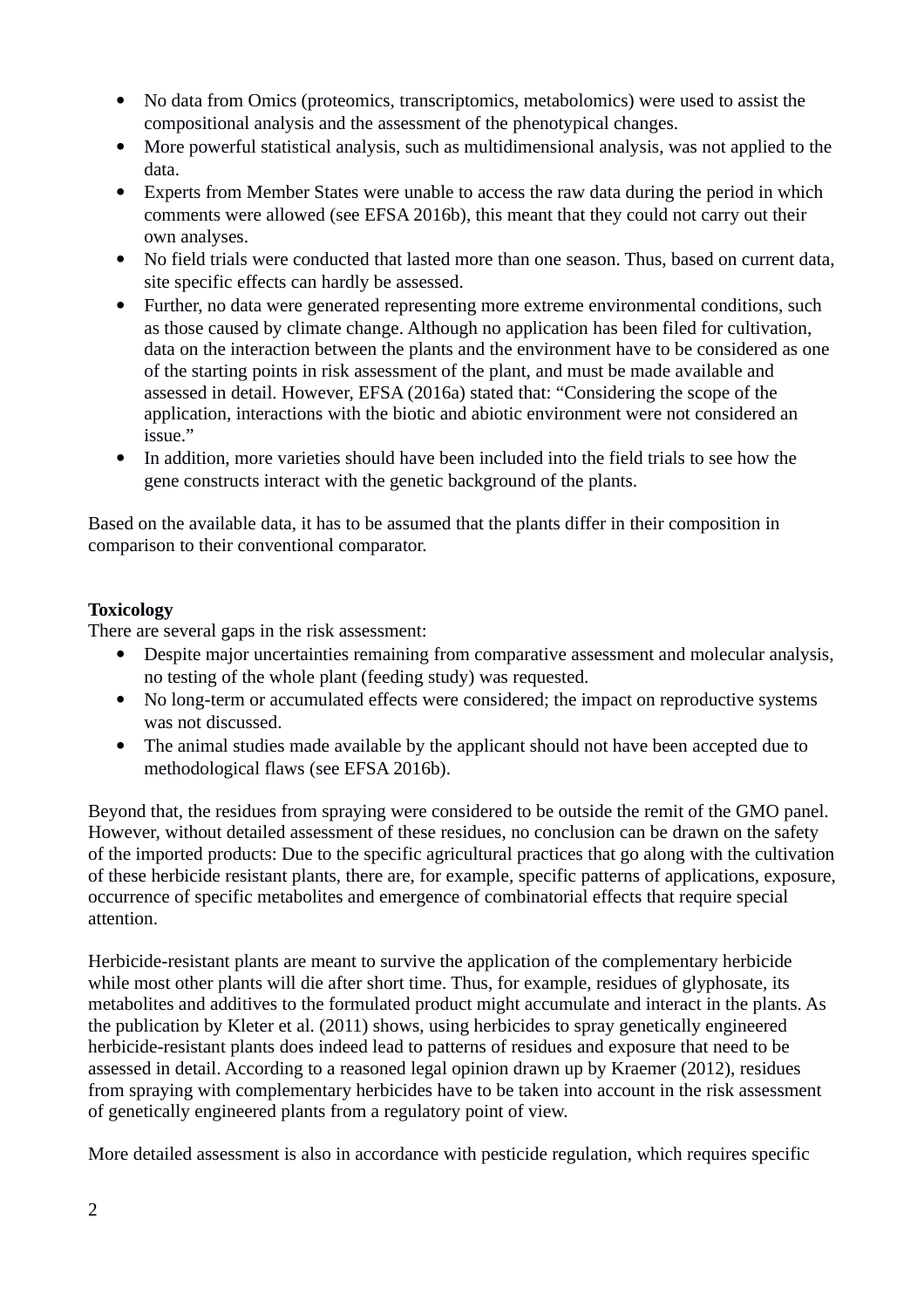- No data from Omics (proteomics, transcriptomics, metabolomics) were used to assist the compositional analysis and the assessment of the phenotypical changes.
- More powerful statistical analysis, such as multidimensional analysis, was not applied to the data.
- Experts from Member States were unable to access the raw data during the period in which comments were allowed (see EFSA 2016b), this meant that they could not carry out their own analyses.
- No field trials were conducted that lasted more than one season. Thus, based on current data, site specific effects can hardly be assessed.
- Further, no data were generated representing more extreme environmental conditions, such as those caused by climate change. Although no application has been filed for cultivation, data on the interaction between the plants and the environment have to be considered as one of the starting points in risk assessment of the plant, and must be made available and assessed in detail. However, EFSA (2016a) stated that: "Considering the scope of the application, interactions with the biotic and abiotic environment were not considered an issue."
- In addition, more varieties should have been included into the field trials to see how the gene constructs interact with the genetic background of the plants.

Based on the available data, it has to be assumed that the plants differ in their composition in comparison to their conventional comparator.

# **Toxicology**

There are several gaps in the risk assessment:

- Despite major uncertainties remaining from comparative assessment and molecular analysis, no testing of the whole plant (feeding study) was requested.
- No long-term or accumulated effects were considered; the impact on reproductive systems was not discussed.
- The animal studies made available by the applicant should not have been accepted due to methodological flaws (see EFSA 2016b).

Beyond that, the residues from spraying were considered to be outside the remit of the GMO panel. However, without detailed assessment of these residues, no conclusion can be drawn on the safety of the imported products: Due to the specific agricultural practices that go along with the cultivation of these herbicide resistant plants, there are, for example, specific patterns of applications, exposure, occurrence of specific metabolites and emergence of combinatorial effects that require special attention.

Herbicide-resistant plants are meant to survive the application of the complementary herbicide while most other plants will die after short time. Thus, for example, residues of glyphosate, its metabolites and additives to the formulated product might accumulate and interact in the plants. As the publication by Kleter et al. (2011) shows, using herbicides to spray genetically engineered herbicide-resistant plants does indeed lead to patterns of residues and exposure that need to be assessed in detail. According to a reasoned legal opinion drawn up by Kraemer (2012), residues from spraying with complementary herbicides have to be taken into account in the risk assessment of genetically engineered plants from a regulatory point of view.

More detailed assessment is also in accordance with pesticide regulation, which requires specific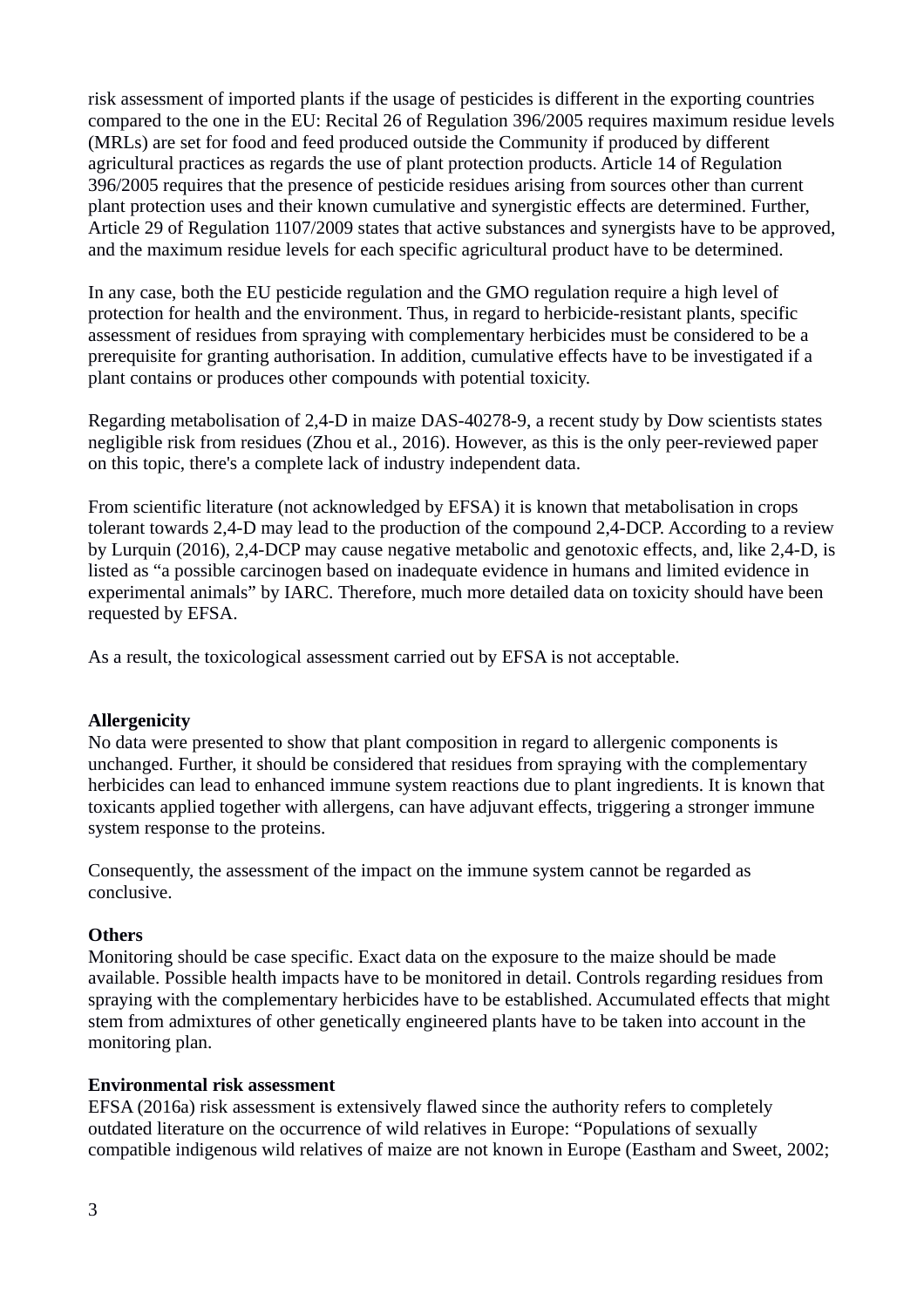risk assessment of imported plants if the usage of pesticides is different in the exporting countries compared to the one in the EU: Recital 26 of Regulation 396/2005 requires maximum residue levels (MRLs) are set for food and feed produced outside the Community if produced by different agricultural practices as regards the use of plant protection products. Article 14 of Regulation 396/2005 requires that the presence of pesticide residues arising from sources other than current plant protection uses and their known cumulative and synergistic effects are determined. Further, Article 29 of Regulation 1107/2009 states that active substances and synergists have to be approved, and the maximum residue levels for each specific agricultural product have to be determined.

In any case, both the EU pesticide regulation and the GMO regulation require a high level of protection for health and the environment. Thus, in regard to herbicide-resistant plants, specific assessment of residues from spraying with complementary herbicides must be considered to be a prerequisite for granting authorisation. In addition, cumulative effects have to be investigated if a plant contains or produces other compounds with potential toxicity.

Regarding metabolisation of 2,4-D in maize DAS-40278-9, a recent study by Dow scientists states negligible risk from residues (Zhou et al., 2016). However, as this is the only peer-reviewed paper on this topic, there's a complete lack of industry independent data.

From scientific literature (not acknowledged by EFSA) it is known that metabolisation in crops tolerant towards 2,4-D may lead to the production of the compound 2,4-DCP. According to a review by Lurquin (2016), 2,4-DCP may cause negative metabolic and genotoxic effects, and, like 2,4-D, is listed as "a possible carcinogen based on inadequate evidence in humans and limited evidence in experimental animals" by IARC. Therefore, much more detailed data on toxicity should have been requested by EFSA.

As a result, the toxicological assessment carried out by EFSA is not acceptable.

## **Allergenicity**

No data were presented to show that plant composition in regard to allergenic components is unchanged. Further, it should be considered that residues from spraying with the complementary herbicides can lead to enhanced immune system reactions due to plant ingredients. It is known that toxicants applied together with allergens, can have adjuvant effects, triggering a stronger immune system response to the proteins.

Consequently, the assessment of the impact on the immune system cannot be regarded as conclusive.

## **Others**

Monitoring should be case specific. Exact data on the exposure to the maize should be made available. Possible health impacts have to be monitored in detail. Controls regarding residues from spraying with the complementary herbicides have to be established. Accumulated effects that might stem from admixtures of other genetically engineered plants have to be taken into account in the monitoring plan.

## **Environmental risk assessment**

EFSA (2016a) risk assessment is extensively flawed since the authority refers to completely outdated literature on the occurrence of wild relatives in Europe: "Populations of sexually compatible indigenous wild relatives of maize are not known in Europe (Eastham and Sweet, 2002;